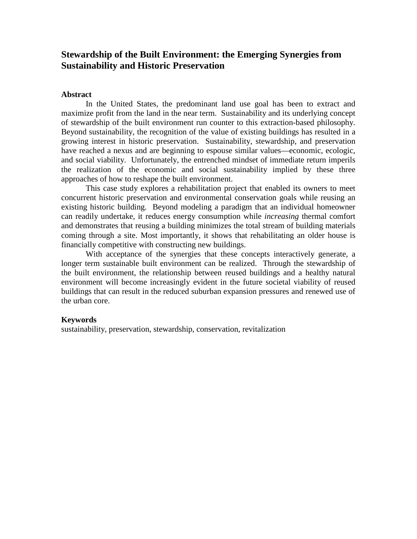# **Stewardship of the Built Environment: the Emerging Synergies from Sustainability and Historic Preservation**

#### **Abstract**

In the United States, the predominant land use goal has been to extract and maximize profit from the land in the near term. Sustainability and its underlying concept of stewardship of the built environment run counter to this extraction-based philosophy. Beyond sustainability, the recognition of the value of existing buildings has resulted in a growing interest in historic preservation. Sustainability, stewardship, and preservation have reached a nexus and are beginning to espouse similar values—economic, ecologic, and social viability. Unfortunately, the entrenched mindset of immediate return imperils the realization of the economic and social sustainability implied by these three approaches of how to reshape the built environment.

This case study explores a rehabilitation project that enabled its owners to meet concurrent historic preservation and environmental conservation goals while reusing an existing historic building. Beyond modeling a paradigm that an individual homeowner can readily undertake, it reduces energy consumption while *increasing* thermal comfort and demonstrates that reusing a building minimizes the total stream of building materials coming through a site. Most importantly, it shows that rehabilitating an older house is financially competitive with constructing new buildings.

With acceptance of the synergies that these concepts interactively generate, a longer term sustainable built environment can be realized. Through the stewardship of the built environment, the relationship between reused buildings and a healthy natural environment will become increasingly evident in the future societal viability of reused buildings that can result in the reduced suburban expansion pressures and renewed use of the urban core.

#### **Keywords**

sustainability, preservation, stewardship, conservation, revitalization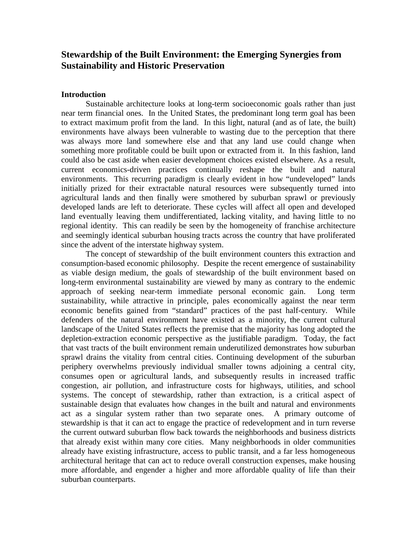# **Stewardship of the Built Environment: the Emerging Synergies from Sustainability and Historic Preservation**

#### **Introduction**

Sustainable architecture looks at long-term socioeconomic goals rather than just near term financial ones. In the United States, the predominant long term goal has been to extract maximum profit from the land. In this light, natural (and as of late, the built) environments have always been vulnerable to wasting due to the perception that there was always more land somewhere else and that any land use could change when something more profitable could be built upon or extracted from it. In this fashion, land could also be cast aside when easier development choices existed elsewhere. As a result, current economics-driven practices continually reshape the built and natural environments. This recurring paradigm is clearly evident in how "undeveloped" lands initially prized for their extractable natural resources were subsequently turned into agricultural lands and then finally were smothered by suburban sprawl or previously developed lands are left to deteriorate. These cycles will affect all open and developed land eventually leaving them undifferentiated, lacking vitality, and having little to no regional identity. This can readily be seen by the homogeneity of franchise architecture and seemingly identical suburban housing tracts across the country that have proliferated since the advent of the interstate highway system.

The concept of stewardship of the built environment counters this extraction and consumption-based economic philosophy. Despite the recent emergence of sustainability as viable design medium, the goals of stewardship of the built environment based on long-term environmental sustainability are viewed by many as contrary to the endemic approach of seeking near-term immediate personal economic gain. Long term sustainability, while attractive in principle, pales economically against the near term economic benefits gained from "standard" practices of the past half-century. While defenders of the natural environment have existed as a minority, the current cultural landscape of the United States reflects the premise that the majority has long adopted the depletion-extraction economic perspective as the justifiable paradigm. Today, the fact that vast tracts of the built environment remain underutilized demonstrates how suburban sprawl drains the vitality from central cities. Continuing development of the suburban periphery overwhelms previously individual smaller towns adjoining a central city, consumes open or agricultural lands, and subsequently results in increased traffic congestion, air pollution, and infrastructure costs for highways, utilities, and school systems. The concept of stewardship, rather than extraction, is a critical aspect of sustainable design that evaluates how changes in the built and natural and environments act as a singular system rather than two separate ones. A primary outcome of stewardship is that it can act to engage the practice of redevelopment and in turn reverse the current outward suburban flow back towards the neighborhoods and business districts that already exist within many core cities. Many neighborhoods in older communities already have existing infrastructure, access to public transit, and a far less homogeneous architectural heritage that can act to reduce overall construction expenses, make housing more affordable, and engender a higher and more affordable quality of life than their suburban counterparts.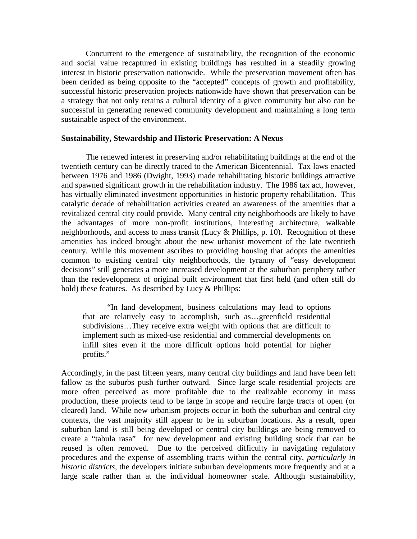Concurrent to the emergence of sustainability, the recognition of the economic and social value recaptured in existing buildings has resulted in a steadily growing interest in historic preservation nationwide. While the preservation movement often has been derided as being opposite to the "accepted" concepts of growth and profitability, successful historic preservation projects nationwide have shown that preservation can be a strategy that not only retains a cultural identity of a given community but also can be successful in generating renewed community development and maintaining a long term sustainable aspect of the environment.

#### **Sustainability, Stewardship and Historic Preservation: A Nexus**

The renewed interest in preserving and/or rehabilitating buildings at the end of the twentieth century can be directly traced to the American Bicentennial. Tax laws enacted between 1976 and 1986 (Dwight, 1993) made rehabilitating historic buildings attractive and spawned significant growth in the rehabilitation industry. The 1986 tax act, however, has virtually eliminated investment opportunities in historic property rehabilitation. This catalytic decade of rehabilitation activities created an awareness of the amenities that a revitalized central city could provide. Many central city neighborhoods are likely to have the advantages of more non-profit institutions, interesting architecture, walkable neighborhoods, and access to mass transit (Lucy & Phillips, p. 10). Recognition of these amenities has indeed brought about the new urbanist movement of the late twentieth century. While this movement ascribes to providing housing that adopts the amenities common to existing central city neighborhoods, the tyranny of "easy development decisions" still generates a more increased development at the suburban periphery rather than the redevelopment of original built environment that first held (and often still do hold) these features. As described by Lucy & Phillips:

"In land development, business calculations may lead to options that are relatively easy to accomplish, such as…greenfield residential subdivisions…They receive extra weight with options that are difficult to implement such as mixed-use residential and commercial developments on infill sites even if the more difficult options hold potential for higher profits."

Accordingly, in the past fifteen years, many central city buildings and land have been left fallow as the suburbs push further outward. Since large scale residential projects are more often perceived as more profitable due to the realizable economy in mass production, these projects tend to be large in scope and require large tracts of open (or cleared) land. While new urbanism projects occur in both the suburban and central city contexts, the vast majority still appear to be in suburban locations. As a result, open suburban land is still being developed or central city buildings are being removed to create a "tabula rasa" for new development and existing building stock that can be reused is often removed. Due to the perceived difficulty in navigating regulatory procedures and the expense of assembling tracts within the central city, *particularly in historic districts*, the developers initiate suburban developments more frequently and at a large scale rather than at the individual homeowner scale. Although sustainability,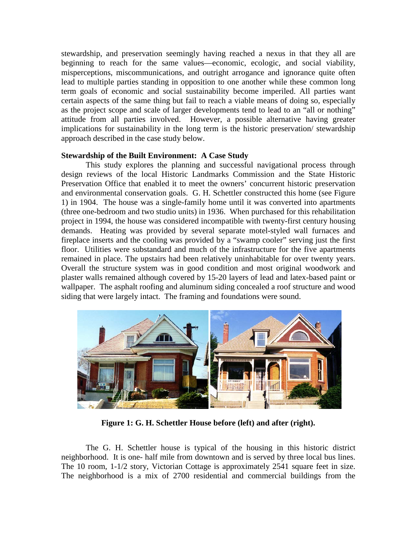stewardship, and preservation seemingly having reached a nexus in that they all are beginning to reach for the same values—economic, ecologic, and social viability, misperceptions, miscommunications, and outright arrogance and ignorance quite often lead to multiple parties standing in opposition to one another while these common long term goals of economic and social sustainability become imperiled. All parties want certain aspects of the same thing but fail to reach a viable means of doing so, especially as the project scope and scale of larger developments tend to lead to an "all or nothing" attitude from all parties involved. However, a possible alternative having greater implications for sustainability in the long term is the historic preservation/ stewardship approach described in the case study below.

#### **Stewardship of the Built Environment: A Case Study**

This study explores the planning and successful navigational process through design reviews of the local Historic Landmarks Commission and the State Historic Preservation Office that enabled it to meet the owners' concurrent historic preservation and environmental conservation goals. G. H. Schettler constructed this home (see Figure 1) in 1904. The house was a single-family home until it was converted into apartments (three one-bedroom and two studio units) in 1936. When purchased for this rehabilitation project in 1994, the house was considered incompatible with twenty-first century housing demands. Heating was provided by several separate motel-styled wall furnaces and fireplace inserts and the cooling was provided by a "swamp cooler" serving just the first floor. Utilities were substandard and much of the infrastructure for the five apartments remained in place. The upstairs had been relatively uninhabitable for over twenty years. Overall the structure system was in good condition and most original woodwork and plaster walls remained although covered by 15-20 layers of lead and latex-based paint or wallpaper. The asphalt roofing and aluminum siding concealed a roof structure and wood siding that were largely intact. The framing and foundations were sound.



**Figure 1: G. H. Schettler House before (left) and after (right).**

The G. H. Schettler house is typical of the housing in this historic district neighborhood. It is one- half mile from downtown and is served by three local bus lines. The 10 room, 1-1/2 story, Victorian Cottage is approximately 2541 square feet in size. The neighborhood is a mix of 2700 residential and commercial buildings from the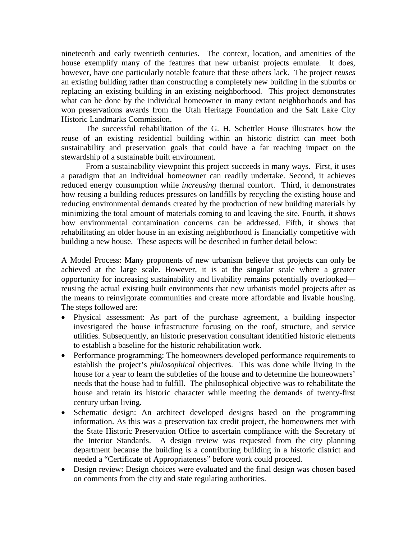nineteenth and early twentieth centuries. The context, location, and amenities of the house exemplify many of the features that new urbanist projects emulate. It does, however, have one particularly notable feature that these others lack. The project *reuses* an existing building rather than constructing a completely new building in the suburbs or replacing an existing building in an existing neighborhood. This project demonstrates what can be done by the individual homeowner in many extant neighborhoods and has won preservations awards from the Utah Heritage Foundation and the Salt Lake City Historic Landmarks Commission.

The successful rehabilitation of the G. H. Schettler House illustrates how the reuse of an existing residential building within an historic district can meet both sustainability and preservation goals that could have a far reaching impact on the stewardship of a sustainable built environment.

From a sustainability viewpoint this project succeeds in many ways. First, it uses a paradigm that an individual homeowner can readily undertake. Second, it achieves reduced energy consumption while *increasing* thermal comfort. Third, it demonstrates how reusing a building reduces pressures on landfills by recycling the existing house and reducing environmental demands created by the production of new building materials by minimizing the total amount of materials coming to and leaving the site. Fourth, it shows how environmental contamination concerns can be addressed. Fifth, it shows that rehabilitating an older house in an existing neighborhood is financially competitive with building a new house. These aspects will be described in further detail below:

A Model Process: Many proponents of new urbanism believe that projects can only be achieved at the large scale. However, it is at the singular scale where a greater opportunity for increasing sustainability and livability remains potentially overlooked reusing the actual existing built environments that new urbanists model projects after as the means to reinvigorate communities and create more affordable and livable housing. The steps followed are:

- Physical assessment: As part of the purchase agreement, a building inspector investigated the house infrastructure focusing on the roof, structure, and service utilities. Subsequently, an historic preservation consultant identified historic elements to establish a baseline for the historic rehabilitation work.
- Performance programming: The homeowners developed performance requirements to establish the project's *philosophical* objectives. This was done while living in the house for a year to learn the subtleties of the house and to determine the homeowners' needs that the house had to fulfill. The philosophical objective was to rehabilitate the house and retain its historic character while meeting the demands of twenty-first century urban living.
- Schematic design: An architect developed designs based on the programming information. As this was a preservation tax credit project, the homeowners met with the State Historic Preservation Office to ascertain compliance with the Secretary of the Interior Standards. A design review was requested from the city planning department because the building is a contributing building in a historic district and needed a "Certificate of Appropriateness" before work could proceed.
- Design review: Design choices were evaluated and the final design was chosen based on comments from the city and state regulating authorities.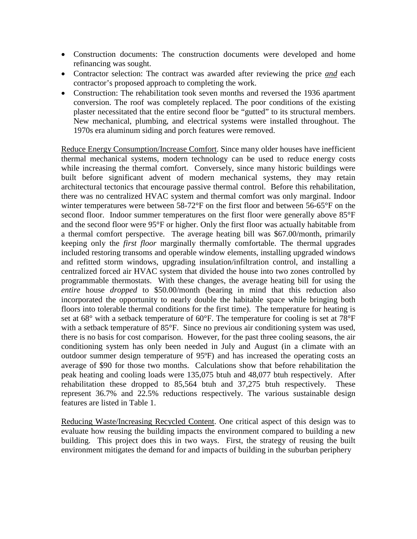- Construction documents: The construction documents were developed and home refinancing was sought.
- Contractor selection: The contract was awarded after reviewing the price *and* each contractor's proposed approach to completing the work.
- Construction: The rehabilitation took seven months and reversed the 1936 apartment conversion. The roof was completely replaced. The poor conditions of the existing plaster necessitated that the entire second floor be "gutted" to its structural members. New mechanical, plumbing, and electrical systems were installed throughout. The 1970s era aluminum siding and porch features were removed.

Reduce Energy Consumption/Increase Comfort. Since many older houses have inefficient thermal mechanical systems, modern technology can be used to reduce energy costs while increasing the thermal comfort. Conversely, since many historic buildings were built before significant advent of modern mechanical systems, they may retain architectural tectonics that encourage passive thermal control. Before this rehabilitation, there was no centralized HVAC system and thermal comfort was only marginal. Indoor winter temperatures were between 58-72°F on the first floor and between 56-65°F on the second floor. Indoor summer temperatures on the first floor were generally above 85°F and the second floor were 95°F or higher. Only the first floor was actually habitable from a thermal comfort perspective. The average heating bill was \$67.00/month, primarily keeping only the *first floor* marginally thermally comfortable. The thermal upgrades included restoring transoms and operable window elements, installing upgraded windows and refitted storm windows, upgrading insulation/infiltration control, and installing a centralized forced air HVAC system that divided the house into two zones controlled by programmable thermostats. With these changes, the average heating bill for using the *entire* house *dropped* to \$50.00/month (bearing in mind that this reduction also incorporated the opportunity to nearly double the habitable space while bringing both floors into tolerable thermal conditions for the first time). The temperature for heating is set at  $68^{\circ}$  with a setback temperature of  $60^{\circ}$ F. The temperature for cooling is set at  $78^{\circ}$ F with a setback temperature of 85°F. Since no previous air conditioning system was used, there is no basis for cost comparison. However, for the past three cooling seasons, the air conditioning system has only been needed in July and August (in a climate with an outdoor summer design temperature of 95ºF) and has increased the operating costs an average of \$90 for those two months. Calculations show that before rehabilitation the peak heating and cooling loads were 135,075 btuh and 48,077 btuh respectively. After rehabilitation these dropped to 85,564 btuh and 37,275 btuh respectively. These represent 36.7% and 22.5% reductions respectively. The various sustainable design features are listed in Table 1.

Reducing Waste/Increasing Recycled Content. One critical aspect of this design was to evaluate how reusing the building impacts the environment compared to building a new building. This project does this in two ways. First, the strategy of reusing the built environment mitigates the demand for and impacts of building in the suburban periphery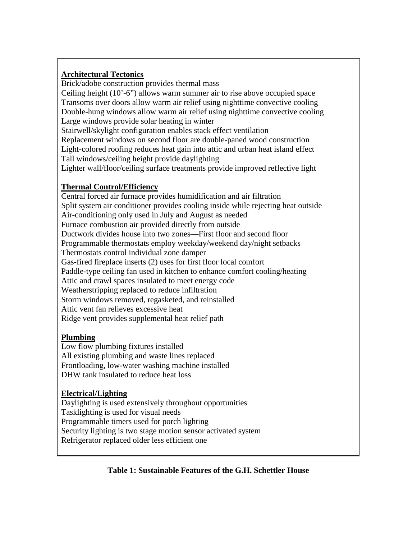### **Architectural Tectonics**

Brick/adobe construction provides thermal mass Ceiling height (10'-6") allows warm summer air to rise above occupied space Transoms over doors allow warm air relief using nighttime convective cooling Double-hung windows allow warm air relief using nighttime convective cooling Large windows provide solar heating in winter Stairwell/skylight configuration enables stack effect ventilation Replacement windows on second floor are double-paned wood construction Light-colored roofing reduces heat gain into attic and urban heat island effect Tall windows/ceiling height provide daylighting Lighter wall/floor/ceiling surface treatments provide improved reflective light

# **Thermal Control/Efficiency**

Central forced air furnace provides humidification and air filtration Split system air conditioner provides cooling inside while rejecting heat outside Air-conditioning only used in July and August as needed Furnace combustion air provided directly from outside Ductwork divides house into two zones—First floor and second floor Programmable thermostats employ weekday/weekend day/night setbacks Thermostats control individual zone damper Gas-fired fireplace inserts (2) uses for first floor local comfort Paddle-type ceiling fan used in kitchen to enhance comfort cooling/heating Attic and crawl spaces insulated to meet energy code Weatherstripping replaced to reduce infiltration Storm windows removed, regasketed, and reinstalled Attic vent fan relieves excessive heat Ridge vent provides supplemental heat relief path

## **Plumbing**

Low flow plumbing fixtures installed All existing plumbing and waste lines replaced Frontloading, low-water washing machine installed DHW tank insulated to reduce heat loss

## **Electrical/Lighting**

Daylighting is used extensively throughout opportunities Tasklighting is used for visual needs Programmable timers used for porch lighting Security lighting is two stage motion sensor activated system Refrigerator replaced older less efficient one

## **Table 1: Sustainable Features of the G.H. Schettler House**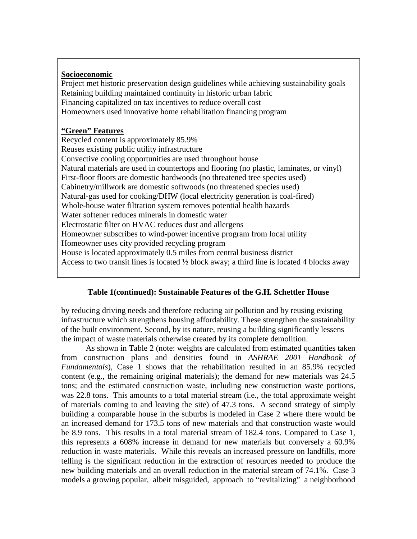### **Socioeconomic**

Project met historic preservation design guidelines while achieving sustainability goals Retaining building maintained continuity in historic urban fabric Financing capitalized on tax incentives to reduce overall cost Homeowners used innovative home rehabilitation financing program

### **"Green" Features**

Recycled content is approximately 85.9% Reuses existing public utility infrastructure Convective cooling opportunities are used throughout house Natural materials are used in countertops and flooring (no plastic, laminates, or vinyl) First-floor floors are domestic hardwoods (no threatened tree species used) Cabinetry/millwork are domestic softwoods (no threatened species used) Natural-gas used for cooking/DHW (local electricity generation is coal-fired) Whole-house water filtration system removes potential health hazards Water softener reduces minerals in domestic water Electrostatic filter on HVAC reduces dust and allergens Homeowner subscribes to wind-power incentive program from local utility Homeowner uses city provided recycling program House is located approximately 0.5 miles from central business district Access to two transit lines is located  $\frac{1}{2}$  block away; a third line is located 4 blocks away

### **Table 1(continued): Sustainable Features of the G.H. Schettler House**

by reducing driving needs and therefore reducing air pollution and by reusing existing infrastructure which strengthens housing affordability. These strengthen the sustainability of the built environment. Second, by its nature, reusing a building significantly lessens the impact of waste materials otherwise created by its complete demolition.

As shown in Table 2 (note: weights are calculated from estimated quantities taken from construction plans and densities found in *ASHRAE 2001 Handbook of Fundamentals*), Case 1 shows that the rehabilitation resulted in an 85.9% recycled content (e.g., the remaining original materials); the demand for new materials was 24.5 tons; and the estimated construction waste, including new construction waste portions, was 22.8 tons. This amounts to a total material stream (i.e., the total approximate weight of materials coming to and leaving the site) of 47.3 tons. A second strategy of simply building a comparable house in the suburbs is modeled in Case 2 where there would be an increased demand for 173.5 tons of new materials and that construction waste would be 8.9 tons. This results in a total material stream of 182.4 tons. Compared to Case 1, this represents a 608% increase in demand for new materials but conversely a 60.9% reduction in waste materials. While this reveals an increased pressure on landfills, more telling is the significant reduction in the extraction of resources needed to produce the new building materials and an overall reduction in the material stream of 74.1%. Case 3 models a growing popular, albeit misguided, approach to "revitalizing" a neighborhood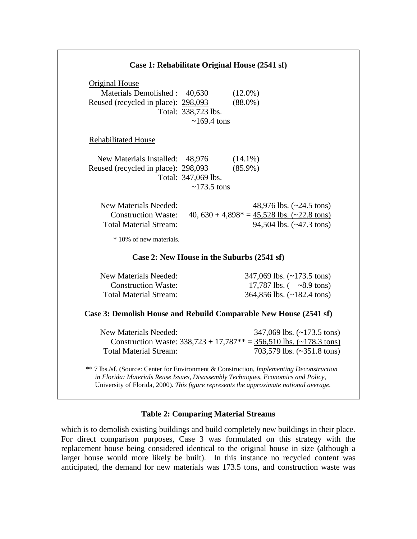| Case 1: Rehabilitate Original House (2541 sf)                       |                     |                                                                                                                                                                                                                                                                          |
|---------------------------------------------------------------------|---------------------|--------------------------------------------------------------------------------------------------------------------------------------------------------------------------------------------------------------------------------------------------------------------------|
| <b>Original House</b>                                               |                     |                                                                                                                                                                                                                                                                          |
| Materials Demolished: 40,630<br>Reused (recycled in place): 298,093 |                     | $(12.0\%)$<br>$(88.0\%)$                                                                                                                                                                                                                                                 |
|                                                                     | Total: 338,723 lbs. |                                                                                                                                                                                                                                                                          |
|                                                                     | $\sim$ 169.4 tons   |                                                                                                                                                                                                                                                                          |
| <b>Rehabilitated House</b>                                          |                     |                                                                                                                                                                                                                                                                          |
| New Materials Installed: 48,976                                     |                     | $(14.1\%)$                                                                                                                                                                                                                                                               |
| Reused (recycled in place): 298,093                                 |                     | $(85.9\%)$                                                                                                                                                                                                                                                               |
|                                                                     | Total: 347,069 lbs. |                                                                                                                                                                                                                                                                          |
|                                                                     | $\sim$ 173.5 tons   |                                                                                                                                                                                                                                                                          |
| <b>New Materials Needed:</b>                                        |                     | 48,976 lbs. $(-24.5 \text{ tons})$                                                                                                                                                                                                                                       |
| <b>Construction Waste:</b>                                          |                     | 40, $630 + 4,898^* = 45,528$ lbs. $\left(\frac{22.8 \text{ tons}}{2}\right)$                                                                                                                                                                                             |
| <b>Total Material Stream:</b>                                       |                     | 94,504 lbs. $(-47.3 \text{ tons})$                                                                                                                                                                                                                                       |
| * 10% of new materials.                                             |                     |                                                                                                                                                                                                                                                                          |
|                                                                     |                     | Case 2: New House in the Suburbs (2541 sf)                                                                                                                                                                                                                               |
| New Materials Needed:                                               |                     | 347,069 lbs. $(-173.5 \text{ tons})$                                                                                                                                                                                                                                     |
| <b>Construction Waste:</b>                                          |                     | 17,787 lbs. $(-8.9 \text{ tons})$                                                                                                                                                                                                                                        |
| <b>Total Material Stream:</b>                                       |                     | 364,856 lbs. (~182.4 tons)                                                                                                                                                                                                                                               |
|                                                                     |                     | Case 3: Demolish House and Rebuild Comparable New House (2541 sf)                                                                                                                                                                                                        |
| <b>New Materials Needed:</b>                                        |                     | 347,069 lbs. $(-173.5 \text{ tons})$                                                                                                                                                                                                                                     |
|                                                                     |                     | Construction Waste: $338,723 + 17,787** = 356,510$ lbs. $(-178.3 \text{ tons})$                                                                                                                                                                                          |
| <b>Total Material Stream:</b>                                       |                     | 703,579 lbs. (~351.8 tons)                                                                                                                                                                                                                                               |
|                                                                     |                     | ** 7 lbs./sf. (Source: Center for Environment & Construction, Implementing Deconstruction<br>in Florida: Materials Reuse Issues, Disassembly Techniques, Economics and Policy,<br>University of Florida, 2000). This figure represents the approximate national average. |

### **Table 2: Comparing Material Streams**

which is to demolish existing buildings and build completely new buildings in their place. For direct comparison purposes, Case 3 was formulated on this strategy with the replacement house being considered identical to the original house in size (although a larger house would more likely be built). In this instance no recycled content was anticipated, the demand for new materials was 173.5 tons, and construction waste was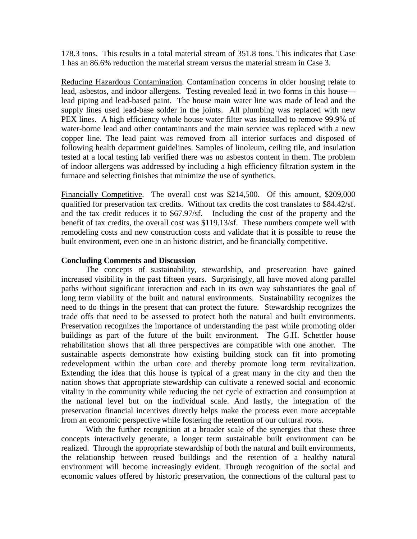178.3 tons. This results in a total material stream of 351.8 tons. This indicates that Case 1 has an 86.6% reduction the material stream versus the material stream in Case 3.

Reducing Hazardous Contamination. Contamination concerns in older housing relate to lead, asbestos, and indoor allergens. Testing revealed lead in two forms in this house lead piping and lead-based paint. The house main water line was made of lead and the supply lines used lead-base solder in the joints. All plumbing was replaced with new PEX lines. A high efficiency whole house water filter was installed to remove 99.9% of water-borne lead and other contaminants and the main service was replaced with a new copper line. The lead paint was removed from all interior surfaces and disposed of following health department guidelines. Samples of linoleum, ceiling tile, and insulation tested at a local testing lab verified there was no asbestos content in them. The problem of indoor allergens was addressed by including a high efficiency filtration system in the furnace and selecting finishes that minimize the use of synthetics.

Financially Competitive. The overall cost was \$214,500. Of this amount, \$209,000 qualified for preservation tax credits. Without tax credits the cost translates to \$84.42/sf. and the tax credit reduces it to \$67.97/sf. Including the cost of the property and the benefit of tax credits, the overall cost was \$119.13/sf. These numbers compete well with remodeling costs and new construction costs and validate that it is possible to reuse the built environment, even one in an historic district, and be financially competitive.

#### **Concluding Comments and Discussion**

The concepts of sustainability, stewardship, and preservation have gained increased visibility in the past fifteen years. Surprisingly, all have moved along parallel paths without significant interaction and each in its own way substantiates the goal of long term viability of the built and natural environments. Sustainability recognizes the need to do things in the present that can protect the future. Stewardship recognizes the trade offs that need to be assessed to protect both the natural and built environments. Preservation recognizes the importance of understanding the past while promoting older buildings as part of the future of the built environment. The G.H. Schettler house rehabilitation shows that all three perspectives are compatible with one another. The sustainable aspects demonstrate how existing building stock can fit into promoting redevelopment within the urban core and thereby promote long term revitalization. Extending the idea that this house is typical of a great many in the city and then the nation shows that appropriate stewardship can cultivate a renewed social and economic vitality in the community while reducing the net cycle of extraction and consumption at the national level but on the individual scale. And lastly, the integration of the preservation financial incentives directly helps make the process even more acceptable from an economic perspective while fostering the retention of our cultural roots.

With the further recognition at a broader scale of the synergies that these three concepts interactively generate, a longer term sustainable built environment can be realized. Through the appropriate stewardship of both the natural and built environments, the relationship between reused buildings and the retention of a healthy natural environment will become increasingly evident. Through recognition of the social and economic values offered by historic preservation, the connections of the cultural past to